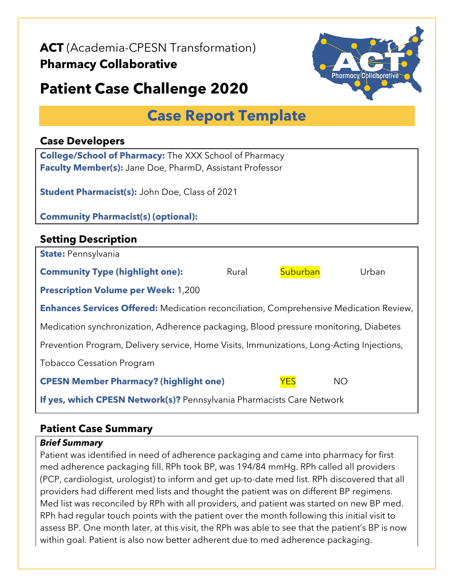**ACT** (Academia-CPESN Transformation)

## **Pharmacy Collaborative**



# **Patient Case Challenge 2020**

## **Case Report Template**

#### **Case Developers**

**College/School of Pharmacy:** The XXX School of Pharmacy **Faculty Member(s):** Jane Doe, PharmD, Assistant Professor

**Student Pharmacist(s):** John Doe, Class of 2021

#### **Community Pharmacist(s) (optional):**

## **Setting Description State:** Pennsylvania **Community Type (highlight one):** Rural Buburban Urban **Prescription Volume per Week:** 1,200 **Enhances Services Offered:** Medication reconciliation, Comprehensive Medication Review, Medication synchronization, Adherence packaging, Blood pressure monitoring, Diabetes Prevention Program, Delivery service, Home Visits, Immunizations, Long-Acting Injections, Tobacco Cessation Program **CPESN Member Pharmacy? (highlight one)** YES NO **If yes, which CPESN Network(s)?** Pennsylvania Pharmacists Care Network

## **Patient Case Summary**

#### *Brief Summary*

Patient was identified in need of adherence packaging and came into pharmacy for first med adherence packaging fill. RPh took BP, was 194/84 mmHg. RPh called all providers (PCP, cardiologist, urologist) to inform and get up-to-date med list. RPh discovered that all providers had different med lists and thought the patient was on different BP regimens. Med list was reconciled by RPh with all providers, and patient was started on new BP med. RPh had regular touch points with the patient over the month following this initial visit to assess BP. One month later, at this visit, the RPh was able to see that the patient's BP is now within goal. Patient is also now better adherent due to med adherence packaging.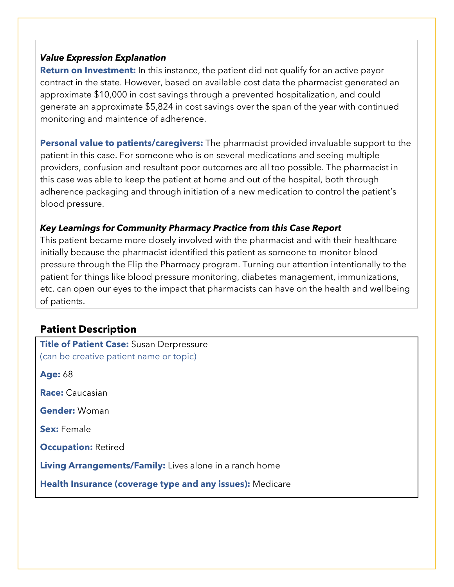#### *Value Expression Explanation*

**Return on Investment:** In this instance, the patient did not qualify for an active payor contract in the state. However, based on available cost data the pharmacist generated an approximate \$10,000 in cost savings through a prevented hospitalization, and could generate an approximate \$5,824 in cost savings over the span of the year with continued monitoring and maintence of adherence.

**Personal value to patients/caregivers:** The pharmacist provided invaluable support to the patient in this case. For someone who is on several medications and seeing multiple providers, confusion and resultant poor outcomes are all too possible. The pharmacist in this case was able to keep the patient at home and out of the hospital, both through adherence packaging and through initiation of a new medication to control the patient's blood pressure.

#### *Key Learnings for Community Pharmacy Practice from this Case Report*

This patient became more closely involved with the pharmacist and with their healthcare initially because the pharmacist identified this patient as someone to monitor blood pressure through the Flip the Pharmacy program. Turning our attention intentionally to the patient for things like blood pressure monitoring, diabetes management, immunizations, etc. can open our eyes to the impact that pharmacists can have on the health and wellbeing of patients.

## **Patient Description**

| Title of Patient Case: Susan Derpressure<br>(can be creative patient name or topic) |
|-------------------------------------------------------------------------------------|
| <b>Age: 68</b>                                                                      |
| <b>Race:</b> Caucasian                                                              |
| <b>Gender: Woman</b>                                                                |
| <b>Sex:</b> Female                                                                  |
| <b>Occupation: Retired</b>                                                          |
| <b>Living Arrangements/Family:</b> Lives alone in a ranch home                      |
| Health Insurance (coverage type and any issues): Medicare                           |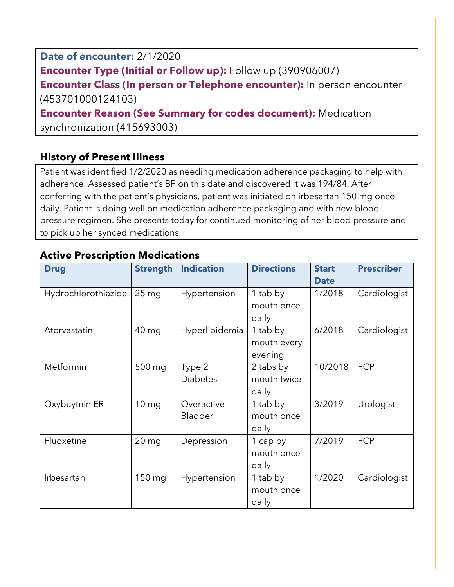**Date of encounter:** 2/1/2020 **Encounter Type (Initial or Follow up):** Follow up (390906007) **Encounter Class (In person or Telephone encounter):** In person encounter (453701000124103) **Encounter Reason (See Summary for codes document):** Medication synchronization (415693003)

## **History of Present Illness**

Patient was identified 1/2/2020 as needing medication adherence packaging to help with adherence. Assessed patient's BP on this date and discovered it was 194/84. After conferring with the patient's physicians, patient was initiated on irbesartan 150 mg once daily. Patient is doing well on medication adherence packaging and with new blood pressure regimen. She presents today for continued monitoring of her blood pressure and to pick up her synced medications.

| <b>Drug</b>         | <b>Strength</b>  | <b>Indication</b>            | <b>Directions</b>                  | <b>Start</b><br><b>Date</b> | <b>Prescriber</b> |
|---------------------|------------------|------------------------------|------------------------------------|-----------------------------|-------------------|
| Hydrochlorothiazide | 25 <sub>mg</sub> | Hypertension                 | 1 tab by<br>mouth once<br>daily    | 1/2018                      | Cardiologist      |
| Atorvastatin        | 40 mg            | Hyperlipidemia               | 1 tab by<br>mouth every<br>evening | 6/2018                      | Cardiologist      |
| Metformin           | 500 mg           | Type 2<br><b>Diabetes</b>    | 2 tabs by<br>mouth twice<br>daily  | 10/2018                     | <b>PCP</b>        |
| Oxybuytnin ER       | 10 <sub>mg</sub> | Overactive<br><b>Bladder</b> | 1 tab by<br>mouth once<br>daily    | 3/2019                      | Urologist         |
| Fluoxetine          | $20 \, mg$       | Depression                   | 1 cap by<br>mouth once<br>daily    | 7/2019                      | <b>PCP</b>        |
| Irbesartan          | 150 mg           | Hypertension                 | 1 tab by<br>mouth once<br>daily    | 1/2020                      | Cardiologist      |

## **Active Prescription Medications**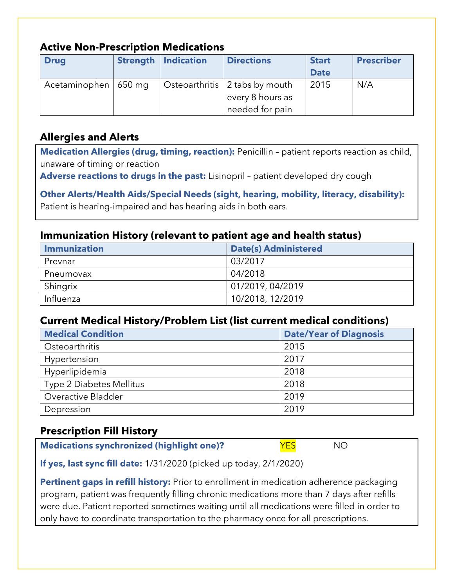#### **Active Non-Prescription Medications**

| <b>Drug</b>            | <b>Strength   Indication</b> | <b>Directions</b>              | <b>Start</b><br><b>Date</b> | <b>Prescriber</b> |
|------------------------|------------------------------|--------------------------------|-----------------------------|-------------------|
| Acetaminophen   650 mg |                              | Osteoarthritis 2 tabs by mouth | 2015                        | N/A               |
|                        |                              | every 8 hours as               |                             |                   |
|                        |                              | needed for pain                |                             |                   |

## **Allergies and Alerts**

**Medication Allergies (drug, timing, reaction):** Penicillin – patient reports reaction as child, unaware of timing or reaction

**Adverse reactions to drugs in the past:** Lisinopril – patient developed dry cough

**Other Alerts/Health Aids/Special Needs (sight, hearing, mobility, literacy, disability):** Patient is hearing-impaired and has hearing aids in both ears.

## **Immunization History (relevant to patient age and health status)**

| <b>Immunization</b> | <b>Date(s) Administered</b> |
|---------------------|-----------------------------|
| Prevnar             | 03/2017                     |
| Pneumovax           | 04/2018                     |
| Shingrix            | 01/2019, 04/2019            |
| Influenza           | 10/2018, 12/2019            |

#### **Current Medical History/Problem List (list current medical conditions)**

| <b>Medical Condition</b> | <b>Date/Year of Diagnosis</b> |
|--------------------------|-------------------------------|
| Osteoarthritis           | 2015                          |
| Hypertension             | 2017                          |
| Hyperlipidemia           | 2018                          |
| Type 2 Diabetes Mellitus | 2018                          |
| Overactive Bladder       | 2019                          |
| Depression               | 2019                          |

## **Prescription Fill History**

**Medications synchronized (highlight one)?** YES NO

**If yes, last sync fill date:** 1/31/2020 (picked up today, 2/1/2020)

**Pertinent gaps in refill history:** Prior to enrollment in medication adherence packaging program, patient was frequently filling chronic medications more than 7 days after refills were due. Patient reported sometimes waiting until all medications were filled in order to only have to coordinate transportation to the pharmacy once for all prescriptions.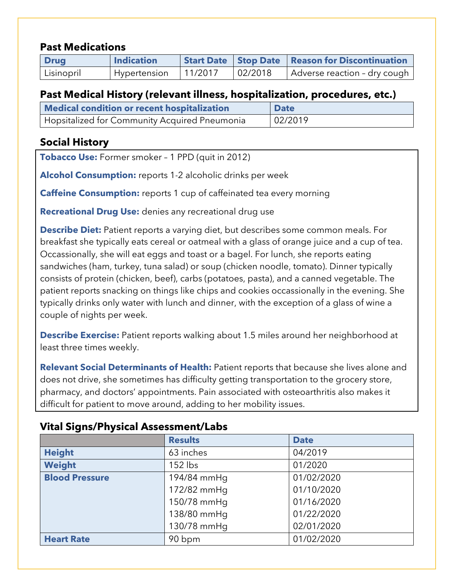#### **Past Medications**

| <b>Drug</b> | <b>Indication</b> |         |         | <b>Start Date   Stop Date   Reason for Discontinuation</b> |
|-------------|-------------------|---------|---------|------------------------------------------------------------|
| Lisinopril  | Hypertension      | 11/2017 | 02/2018 | Adverse reaction - dry cough                               |

#### **Past Medical History (relevant illness, hospitalization, procedures, etc.)**

| Medical condition or recent hospitalization   | <b>Date</b> |
|-----------------------------------------------|-------------|
| Hopsitalized for Community Acquired Pneumonia | 02/2019     |

## **Social History**

**Tobacco Use:** Former smoker – 1 PPD (quit in 2012)

**Alcohol Consumption:** reports 1-2 alcoholic drinks per week

**Caffeine Consumption:** reports 1 cup of caffeinated tea every morning

**Recreational Drug Use:** denies any recreational drug use

**Describe Diet:** Patient reports a varying diet, but describes some common meals. For breakfast she typically eats cereal or oatmeal with a glass of orange juice and a cup of tea. Occassionally, she will eat eggs and toast or a bagel. For lunch, she reports eating sandwiches (ham, turkey, tuna salad) or soup (chicken noodle, tomato). Dinner typically consists of protein (chicken, beef), carbs (potatoes, pasta), and a canned vegetable. The patient reports snacking on things like chips and cookies occassionally in the evening. She typically drinks only water with lunch and dinner, with the exception of a glass of wine a couple of nights per week.

**Describe Exercise:** Patient reports walking about 1.5 miles around her neighborhood at least three times weekly.

**Relevant Social Determinants of Health:** Patient reports that because she lives alone and does not drive, she sometimes has difficulty getting transportation to the grocery store, pharmacy, and doctors' appointments. Pain associated with osteoarthritis also makes it difficult for patient to move around, adding to her mobility issues.

|                       | <b>Results</b> | <b>Date</b> |  |
|-----------------------|----------------|-------------|--|
| <b>Height</b>         | 63 inches      | 04/2019     |  |
| Weight                | $152$ lbs      | 01/2020     |  |
| <b>Blood Pressure</b> | 194/84 mmHg    | 01/02/2020  |  |
|                       | 172/82 mmHq    | 01/10/2020  |  |
|                       | 150/78 mmHq    | 01/16/2020  |  |
|                       | 138/80 mmHg    | 01/22/2020  |  |
|                       | 130/78 mmHq    | 02/01/2020  |  |
| <b>Heart Rate</b>     | 90 bpm         | 01/02/2020  |  |

#### **Vital Signs/Physical Assessment/Labs**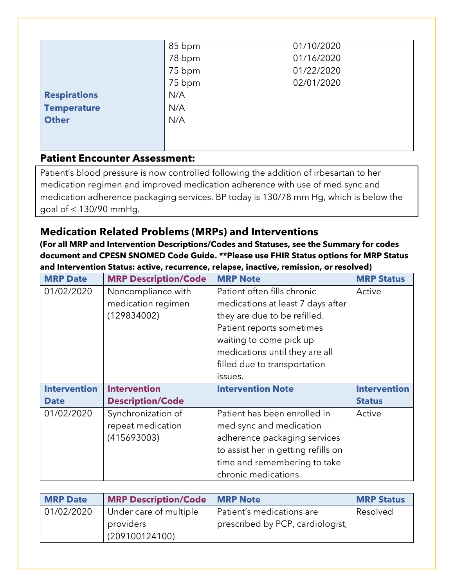|                     | 85 bpm | 01/10/2020 |
|---------------------|--------|------------|
|                     | 78 bpm | 01/16/2020 |
|                     | 75 bpm | 01/22/2020 |
|                     | 75 bpm | 02/01/2020 |
| <b>Respirations</b> | N/A    |            |
| <b>Temperature</b>  | N/A    |            |
| <b>Other</b>        | N/A    |            |
|                     |        |            |
|                     |        |            |

## **Patient Encounter Assessment:**

Patient's blood pressure is now controlled following the addition of irbesartan to her medication regimen and improved medication adherence with use of med sync and medication adherence packaging services. BP today is 130/78 mm Hg, which is below the goal of < 130/90 mmHg.

## **Medication Related Problems (MRPs) and Interventions**

**(For all MRP and Intervention Descriptions/Codes and Statuses, see the Summary for codes document and CPESN SNOMED Code Guide. \*\*Please use FHIR Status options for MRP Status and Intervention Status: active, recurrence, relapse, inactive, remission, or resolved)**

| <b>MRP Date</b>     | <b>MRP Description/Code</b> | <b>MRP Note</b>                     | <b>MRP Status</b>   |
|---------------------|-----------------------------|-------------------------------------|---------------------|
| 01/02/2020          | Noncompliance with          | Patient often fills chronic         | Active              |
|                     | medication regimen          | medications at least 7 days after   |                     |
|                     | (129834002)                 | they are due to be refilled.        |                     |
|                     |                             | Patient reports sometimes           |                     |
|                     |                             | waiting to come pick up             |                     |
|                     |                             | medications until they are all      |                     |
|                     |                             | filled due to transportation        |                     |
|                     |                             | issues.                             |                     |
| <b>Intervention</b> | <b>Intervention</b>         | <b>Intervention Note</b>            | <b>Intervention</b> |
| <b>Date</b>         | <b>Description/Code</b>     |                                     | <b>Status</b>       |
| 01/02/2020          | Synchronization of          | Patient has been enrolled in        | Active              |
|                     | repeat medication           | med sync and medication             |                     |
|                     | (415693003)                 | adherence packaging services        |                     |
|                     |                             | to assist her in getting refills on |                     |
|                     |                             | time and remembering to take        |                     |
|                     |                             | chronic medications.                |                     |

| <b>MRP Date</b> | <b>MRP Description/Code</b>                           | <b>IMRP Note</b>                                              | <b>MRP Status</b> |
|-----------------|-------------------------------------------------------|---------------------------------------------------------------|-------------------|
| 01/02/2020      | Under care of multiple<br>providers<br>(209100124100) | Patient's medications are<br>prescribed by PCP, cardiologist, | Resolved          |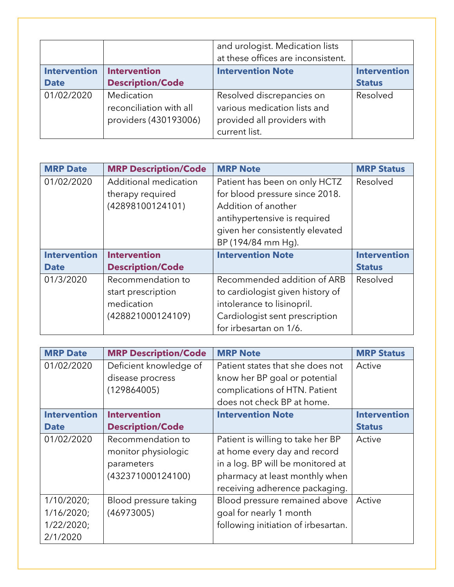|                     |                                                                | and urologist. Medication lists<br>at these offices are inconsistent.                                     |                     |
|---------------------|----------------------------------------------------------------|-----------------------------------------------------------------------------------------------------------|---------------------|
| <b>Intervention</b> | <b>Intervention</b>                                            | <b>Intervention Note</b>                                                                                  | <b>Intervention</b> |
| <b>Date</b>         | <b>Description/Code</b>                                        |                                                                                                           | <b>Status</b>       |
| 01/02/2020          | Medication<br>reconciliation with all<br>providers (430193006) | Resolved discrepancies on<br>various medication lists and<br>provided all providers with<br>current list. | Resolved            |

| <b>MRP Date</b>     | <b>MRP Description/Code</b> | <b>MRP Note</b>                  | <b>MRP Status</b>   |
|---------------------|-----------------------------|----------------------------------|---------------------|
| 01/02/2020          | Additional medication       | Patient has been on only HCTZ    | Resolved            |
|                     | therapy required            | for blood pressure since 2018.   |                     |
|                     | (42898100124101)            | Addition of another              |                     |
|                     |                             | antihypertensive is required     |                     |
|                     |                             | given her consistently elevated  |                     |
|                     |                             | BP (194/84 mm Hq).               |                     |
| <b>Intervention</b> | <b>Intervention</b>         | <b>Intervention Note</b>         | <b>Intervention</b> |
| <b>Date</b>         | <b>Description/Code</b>     |                                  | <b>Status</b>       |
| 01/3/2020           | Recommendation to           | Recommended addition of ARB      | Resolved            |
|                     | start prescription          | to cardiologist given history of |                     |
|                     | medication                  | intolerance to lisinopril.       |                     |
|                     | (428821000124109)           | Cardiologist sent prescription   |                     |
|                     |                             | for irbesartan on 1/6.           |                     |

| <b>MRP Date</b>     | <b>MRP Description/Code</b> | <b>MRP Note</b>                     | <b>MRP Status</b>   |
|---------------------|-----------------------------|-------------------------------------|---------------------|
| 01/02/2020          | Deficient knowledge of      | Patient states that she does not    | Active              |
|                     | disease procress            | know her BP goal or potential       |                     |
|                     | (129864005)                 | complications of HTN. Patient       |                     |
|                     |                             | does not check BP at home.          |                     |
| <b>Intervention</b> | <b>Intervention</b>         | <b>Intervention Note</b>            | <b>Intervention</b> |
| <b>Date</b>         | <b>Description/Code</b>     |                                     | <b>Status</b>       |
| 01/02/2020          | Recommendation to           | Patient is willing to take her BP   | Active              |
|                     | monitor physiologic         | at home every day and record        |                     |
|                     | parameters                  | in a log. BP will be monitored at   |                     |
|                     | (432371000124100)           | pharmacy at least monthly when      |                     |
|                     |                             | receiving adherence packaging.      |                     |
| 1/10/2020;          | Blood pressure taking       | Blood pressure remained above       | Active              |
| 1/16/2020;          | (46973005)                  | goal for nearly 1 month             |                     |
| 1/22/2020;          |                             | following initiation of irbesartan. |                     |
| 2/1/2020            |                             |                                     |                     |